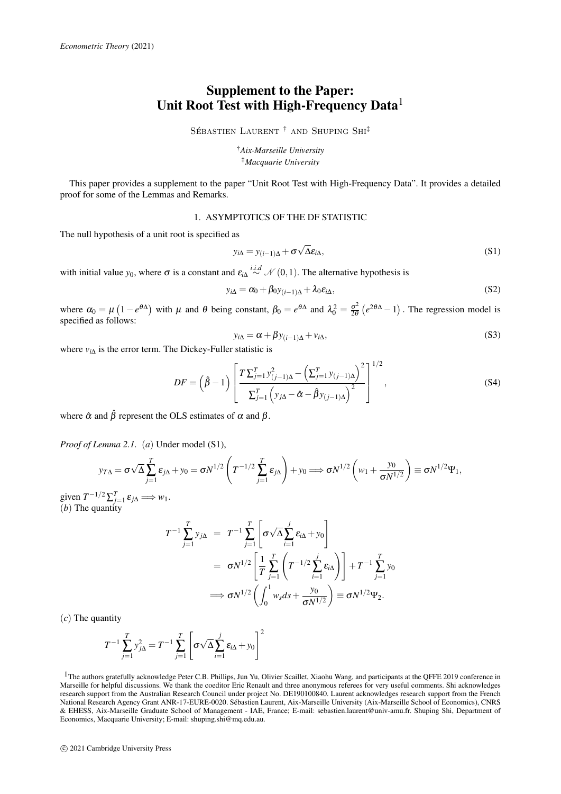## Supplement to the Paper: Unit Root Test with High-Frequency Data<sup>1</sup>

SÉBASTIEN LAURENT<sup>†</sup> AND SHUPING SHI<sup>‡</sup>

†*Aix-Marseille University* ‡*Macquarie University*

This paper provides a supplement to the paper "Unit Root Test with High-Frequency Data". It provides a detailed proof for some of the Lemmas and Remarks.

## 1. ASYMPTOTICS OF THE DF STATISTIC

The null hypothesis of a unit root is specified as

$$
y_{i\Delta} = y_{(i-1)\Delta} + \sigma \sqrt{\Delta} \varepsilon_{i\Delta},
$$
\n(S1)

with initial value  $y_0$ , where  $\sigma$  is a constant and  $\varepsilon_{i\lambda} \stackrel{i.i.d}{\sim} \mathcal{N}(0,1)$ . The alternative hypothesis is

$$
y_{i\Delta} = \alpha_0 + \beta_0 y_{(i-1)\Delta} + \lambda_0 \varepsilon_{i\Delta},\tag{S2}
$$

where  $\alpha_0 = \mu \left(1 - e^{\theta \Delta}\right)$  with  $\mu$  and  $\theta$  being constant,  $\beta_0 = e^{\theta \Delta}$  and  $\lambda_0^2 = \frac{\sigma^2}{2\theta}$  $\frac{\sigma^2}{2\theta}$  ( $e^{2\theta\Delta}-1$ ). The regression model is specified as follows:

$$
y_{i\Delta} = \alpha + \beta y_{(i-1)\Delta} + v_{i\Delta},\tag{S3}
$$

 $1/2$ 

where  $v_{i\Delta}$  is the error term. The Dickey-Fuller statistic is

$$
DF = (\hat{\beta} - 1) \left[ \frac{T \sum_{j=1}^{T} y_{(j-1)\Delta}^{2} - (\sum_{j=1}^{T} y_{(j-1)\Delta})^{2}}{\sum_{j=1}^{T} (y_{j\Delta} - \hat{\alpha} - \hat{\beta} y_{(j-1)\Delta})^{2}} \right]^{1/2},
$$
\n(S4)

where  $\hat{\alpha}$  and  $\hat{\beta}$  represent the OLS estimates of  $\alpha$  and  $\beta$ .

*Proof of Lemma 2.1.* (*a*) Under model (S1),

$$
y_{T\Delta} = \sigma\sqrt{\Delta} \sum_{j=1}^{T} \varepsilon_{j\Delta} + y_0 = \sigma N^{1/2} \left( T^{-1/2} \sum_{j=1}^{T} \varepsilon_{j\Delta} \right) + y_0 \Longrightarrow \sigma N^{1/2} \left( w_1 + \frac{y_0}{\sigma N^{1/2}} \right) \equiv \sigma N^{1/2} \Psi_1,
$$

given  $T^{-1/2} \sum_{j=1}^{T} \varepsilon_{j\Delta} \Longrightarrow w_1$ . (*b*) The quantity

$$
T^{-1} \sum_{j=1}^{T} y_{j\Delta} = T^{-1} \sum_{j=1}^{T} \left[ \sigma \sqrt{\Delta} \sum_{i=1}^{j} \varepsilon_{i\Delta} + y_0 \right]
$$
  
=  $\sigma N^{1/2} \left[ \frac{1}{T} \sum_{j=1}^{T} \left( T^{-1/2} \sum_{i=1}^{j} \varepsilon_{i\Delta} \right) \right] + T^{-1} \sum_{j=1}^{T} y_0$   
 $\implies \sigma N^{1/2} \left( \int_0^1 w_s ds + \frac{y_0}{\sigma N^{1/2}} \right) \equiv \sigma N^{1/2} \Psi_2.$ 

(*c*) The quantity

$$
T^{-1} \sum_{j=1}^{T} y_{j\Delta}^{2} = T^{-1} \sum_{j=1}^{T} \left[ \sigma \sqrt{\Delta} \sum_{i=1}^{j} \varepsilon_{i\Delta} + y_{0} \right]^{2}
$$

<sup>&</sup>lt;sup>1</sup>The authors gratefully acknowledge Peter C.B. Phillips, Jun Yu, Olivier Scaillet, Xiaohu Wang, and participants at the QFFE 2019 conference in Marseille for helpful discussions. We thank the coeditor Eric Renault and three anonymous referees for very useful comments. Shi acknowledges research support from the Australian Research Council under project No. DE190100840. Laurent acknowledges research support from the French National Research Agency Grant ANR-17-EURE-0020. Sebastien Laurent, Aix-Marseille University (Aix-Marseille School of Economics), CNRS ´ & EHESS, Aix-Marseille Graduate School of Management - IAE, France; E-mail: sebastien.laurent@univ-amu.fr. Shuping Shi, Department of Economics, Macquarie University; E-mail: shuping.shi@mq.edu.au.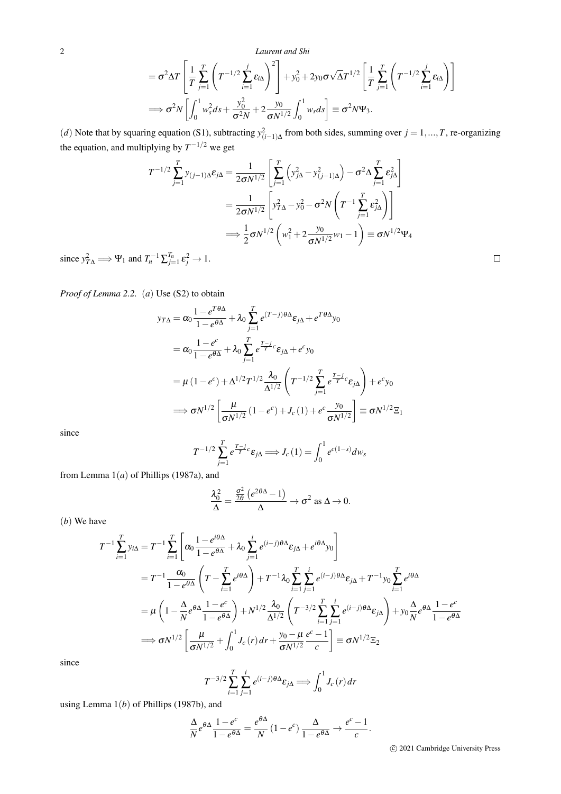2 *Laurent and Shi*

$$
= \sigma^2 \Delta T \left[ \frac{1}{T} \sum_{j=1}^T \left( T^{-1/2} \sum_{i=1}^j \varepsilon_{i\Delta} \right)^2 \right] + y_0^2 + 2y_0 \sigma \sqrt{\Delta} T^{1/2} \left[ \frac{1}{T} \sum_{j=1}^T \left( T^{-1/2} \sum_{i=1}^j \varepsilon_{i\Delta} \right) \right]
$$
  

$$
\implies \sigma^2 N \left[ \int_0^1 w_s^2 ds + \frac{y_0^2}{\sigma^2 N} + 2 \frac{y_0}{\sigma N^{1/2}} \int_0^1 w_s ds \right] \equiv \sigma^2 N \Psi_3.
$$

(*d*) Note that by squaring equation (S1), subtracting  $y_{(i-1)\Delta}^2$  from both sides, summing over  $j = 1, ..., T$ , re-organizing the equation, and multiplying by  $T^{-1/2}$  we get

$$
T^{-1/2} \sum_{j=1}^{T} y_{(j-1)\Delta} \varepsilon_{j\Delta} = \frac{1}{2\sigma N^{1/2}} \left[ \sum_{j=1}^{T} \left( y_{j\Delta}^2 - y_{(j-1)\Delta}^2 \right) - \sigma^2 \Delta \sum_{j=1}^{T} \varepsilon_{j\Delta}^2 \right]
$$
  

$$
= \frac{1}{2\sigma N^{1/2}} \left[ y_{T\Delta}^2 - y_0^2 - \sigma^2 N \left( T^{-1} \sum_{j=1}^{T} \varepsilon_{j\Delta}^2 \right) \right]
$$
  

$$
\implies \frac{1}{2} \sigma N^{1/2} \left( w_1^2 + 2 \frac{y_0}{\sigma N^{1/2}} w_1 - 1 \right) \equiv \sigma N^{1/2} \Psi_4
$$

since  $y_{T\Delta}^2 \implies \Psi_1$  and  $T_n^{-1} \sum_{j=1}^{T_n} \varepsilon_j^2 \to 1$ .

*Proof of Lemma 2.2.* (*a*) Use (S2) to obtain

$$
y_{T\Delta} = \alpha_0 \frac{1 - e^{T\theta\Delta}}{1 - e^{\theta\Delta}} + \lambda_0 \sum_{j=1}^T e^{(T-j)\theta\Delta} \varepsilon_{j\Delta} + e^{T\theta\Delta} y_0
$$
  
\n
$$
= \alpha_0 \frac{1 - e^c}{1 - e^{\theta\Delta}} + \lambda_0 \sum_{j=1}^T e^{\frac{T-j}{T}c} \varepsilon_{j\Delta} + e^c y_0
$$
  
\n
$$
= \mu (1 - e^c) + \Delta^{1/2} T^{1/2} \frac{\lambda_0}{\Delta^{1/2}} \left( T^{-1/2} \sum_{j=1}^T e^{\frac{T-j}{T}c} \varepsilon_{j\Delta} \right) + e^c y_0
$$
  
\n
$$
\implies \sigma N^{1/2} \left[ \frac{\mu}{\sigma N^{1/2}} (1 - e^c) + J_c (1) + e^c \frac{y_0}{\sigma N^{1/2}} \right] \equiv \sigma N^{1/2} \Xi_1
$$

since

$$
T^{-1/2} \sum_{j=1}^{T} e^{\frac{T-j}{T}c} \varepsilon_{j\Delta} \Longrightarrow J_c(1) = \int_0^1 e^{c(1-s)} dw_s
$$

from Lemma 1(*a*) of Phillips (1987a), and

$$
\frac{\lambda_0^2}{\Delta} = \frac{\frac{\sigma^2}{2\theta} \left( e^{2\theta \Delta} - 1 \right)}{\Delta} \to \sigma^2 \text{ as } \Delta \to 0.
$$

(*b*) We have

$$
T^{-1} \sum_{i=1}^{T} y_{i\Delta} = T^{-1} \sum_{i=1}^{T} \left[ \alpha_0 \frac{1 - e^{i\theta \Delta}}{1 - e^{\theta \Delta}} + \lambda_0 \sum_{j=1}^{i} e^{(i-j)\theta \Delta} \varepsilon_{j\Delta} + e^{i\theta \Delta} y_0 \right]
$$
  
\n
$$
= T^{-1} \frac{\alpha_0}{1 - e^{\theta \Delta}} \left( T - \sum_{i=1}^{T} e^{i\theta \Delta} \right) + T^{-1} \lambda_0 \sum_{i=1}^{T} \sum_{j=1}^{i} e^{(i-j)\theta \Delta} \varepsilon_{j\Delta} + T^{-1} y_0 \sum_{i=1}^{T} e^{i\theta \Delta}
$$
  
\n
$$
= \mu \left( 1 - \frac{\Delta}{N} e^{\theta \Delta} \frac{1 - e^c}{1 - e^{\theta \Delta}} \right) + N^{1/2} \frac{\lambda_0}{\Delta^{1/2}} \left( T^{-3/2} \sum_{i=1}^{T} \sum_{j=1}^{i} e^{(i-j)\theta \Delta} \varepsilon_{j\Delta} \right) + y_0 \frac{\Delta}{N} e^{\theta \Delta} \frac{1 - e^c}{1 - e^{\theta \Delta}}
$$
  
\n
$$
\implies \sigma N^{1/2} \left[ \frac{\mu}{\sigma N^{1/2}} + \int_0^1 J_c(r) dr + \frac{y_0 - \mu}{\sigma N^{1/2}} \frac{e^c - 1}{c} \right] \equiv \sigma N^{1/2} \Xi_2
$$

since

$$
T^{-3/2} \sum_{i=1}^{T} \sum_{j=1}^{i} e^{(i-j)\theta \Delta} \varepsilon_{j\Delta} \Longrightarrow \int_{0}^{1} J_c(r) dr
$$

using Lemma 1(*b*) of Phillips (1987b), and

$$
\frac{\Delta}{N}e^{\theta\Delta}\frac{1-e^c}{1-e^{\theta\Delta}}=\frac{e^{\theta\Delta}}{N}\left(1-e^c\right)\frac{\Delta}{1-e^{\theta\Delta}}\to\frac{e^c-1}{c}.
$$

 $\Box$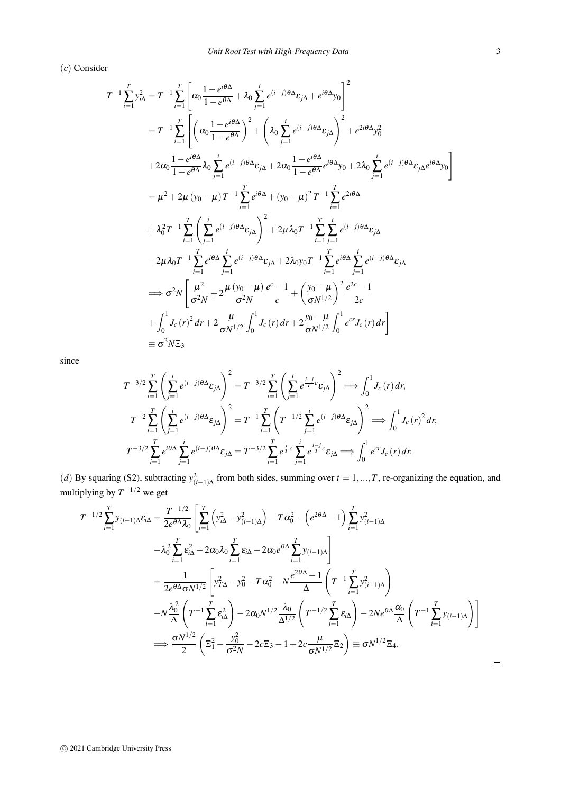*Unit Root Test with High-Frequency Data* 3

(*c*) Consider

$$
T^{-1} \sum_{i=1}^{T} y_{i\Delta}^{2} = T^{-1} \sum_{i=1}^{T} \left[ \alpha_{0} \frac{1 - e^{i\theta\Delta}}{1 - e^{\theta\Delta}} + \lambda_{0} \sum_{j=1}^{i} e^{(i-j)\theta\Delta} \varepsilon_{j\Delta} + e^{i\theta\Delta} y_{0} \right]^{2}
$$
  
\n
$$
= T^{-1} \sum_{i=1}^{T} \left[ \left( \alpha_{0} \frac{1 - e^{i\theta\Delta}}{1 - e^{\theta\Delta}} \right)^{2} + \left( \lambda_{0} \sum_{j=1}^{i} e^{(i-j)\theta\Delta} \varepsilon_{j\Delta} \right)^{2} + e^{2i\theta\Delta} y_{0}^{2} + 2\alpha_{0} \frac{1 - e^{i\theta\Delta}}{1 - e^{\theta\Delta}} \varepsilon_{0} \lambda_{0} \sum_{j=1}^{i} e^{(i-j)\theta\Delta} \varepsilon_{j\Delta} + 2\alpha_{0} \frac{1 - e^{i\theta\Delta}}{1 - e^{\theta\Delta}} e^{i\theta\Delta} y_{0} + 2\lambda_{0} \sum_{j=1}^{i} e^{(i-j)\theta\Delta} \varepsilon_{j\Delta} e^{i\theta\Delta} y_{0} \right]
$$
  
\n
$$
= \mu^{2} + 2\mu (y_{0} - \mu) T^{-1} \sum_{i=1}^{T} e^{i\theta\Delta} + (y_{0} - \mu)^{2} T^{-1} \sum_{i=1}^{T} e^{2i\theta\Delta} + \lambda_{0}^{2} T^{-1} \sum_{i=1}^{T} \left( \sum_{j=1}^{i} e^{(i-j)\theta\Delta} \varepsilon_{j\Delta} \right)^{2} + 2\mu \lambda_{0} T^{-1} \sum_{i=1}^{T} \sum_{j=1}^{i} e^{(i-j)\theta\Delta} \varepsilon_{j\Delta}
$$
  
\n
$$
- 2\mu \lambda_{0} T^{-1} \sum_{i=1}^{T} e^{i\theta\Delta} \sum_{j=1}^{i} e^{(i-j)\theta\Delta} \varepsilon_{j\Delta} + 2\lambda_{0} y_{0} T^{-1} \sum_{i=1}^{T} e^{i\theta\Delta} \sum_{j=1}^{i} e^{(i-j)\theta\Delta} \varepsilon_{j\Delta}
$$
  
\

since

$$
T^{-3/2} \sum_{i=1}^{T} \left( \sum_{j=1}^{i} e^{(i-j)\theta \Delta} \varepsilon_{j\Delta} \right)^{2} = T^{-3/2} \sum_{i=1}^{T} \left( \sum_{j=1}^{i} e^{\frac{i-j}{T}c} \varepsilon_{j\Delta} \right)^{2} \Longrightarrow \int_{0}^{1} J_{c}(r) dr,
$$
  

$$
T^{-2} \sum_{i=1}^{T} \left( \sum_{j=1}^{i} e^{(i-j)\theta \Delta} \varepsilon_{j\Delta} \right)^{2} = T^{-1} \sum_{i=1}^{T} \left( T^{-1/2} \sum_{j=1}^{i} e^{(i-j)\theta \Delta} \varepsilon_{j\Delta} \right)^{2} \Longrightarrow \int_{0}^{1} J_{c}(r)^{2} dr,
$$
  

$$
T^{-3/2} \sum_{i=1}^{T} e^{i\theta \Delta} \sum_{j=1}^{i} e^{(i-j)\theta \Delta} \varepsilon_{j\Delta} = T^{-3/2} \sum_{i=1}^{T} e^{\frac{i}{T}c} \sum_{j=1}^{i} e^{\frac{i-j}{T}c} \varepsilon_{j\Delta} \Longrightarrow \int_{0}^{1} e^{cr} J_{c}(r) dr.
$$

(*d*) By squaring (S2), subtracting  $y_{(i-1)\Delta}^2$  from both sides, summing over  $t = 1, ..., T$ , re-organizing the equation, and multiplying by  $T^{-1/2}$  we get

$$
T^{-1/2} \sum_{i=1}^{T} y_{(i-1)\Delta} \varepsilon_{i\Delta} = \frac{T^{-1/2}}{2e^{\theta \Delta} \lambda_0} \left[ \sum_{i=1}^{T} \left( y_{i\Delta}^2 - y_{(i-1)\Delta}^2 \right) - T \alpha_0^2 - \left( e^{2\theta \Delta} - 1 \right) \sum_{i=1}^{T} y_{(i-1)\Delta}^2 + \lambda_0^2 \sum_{i=1}^{T} \varepsilon_{i\Delta}^2 - 2\alpha_0 \lambda_0 \sum_{i=1}^{T} \varepsilon_{i\Delta} - 2\alpha_0 e^{\theta \Delta} \sum_{i=1}^{T} y_{(i-1)\Delta} \right]
$$
  
\n
$$
= \frac{1}{2e^{\theta \Delta} \sigma N^{1/2}} \left[ y_{T\Delta}^2 - y_0^2 - T \alpha_0^2 - N \frac{e^{2\theta \Delta} - 1}{\Delta} \left( T^{-1} \sum_{i=1}^{T} y_{(i-1)\Delta}^2 \right) - N \frac{\lambda_0^2}{\Delta} \left( T^{-1} \sum_{i=1}^{T} \varepsilon_{i\Delta}^2 \right) - 2\alpha_0 N^{1/2} \frac{\lambda_0}{\Delta^{1/2}} \left( T^{-1/2} \sum_{i=1}^{T} \varepsilon_{i\Delta} \right) - 2N e^{\theta \Delta} \frac{\alpha_0}{\Delta} \left( T^{-1} \sum_{i=1}^{T} y_{(i-1)\Delta} \right) \right]
$$
  
\n
$$
\implies \frac{\sigma N^{1/2}}{2} \left( \Xi_1^2 - \frac{y_0^2}{\sigma^2 N} - 2c \Xi_3 - 1 + 2c \frac{\mu}{\sigma N^{1/2}} \Xi_2 \right) \equiv \sigma N^{1/2} \Xi_4.
$$

 $\Box$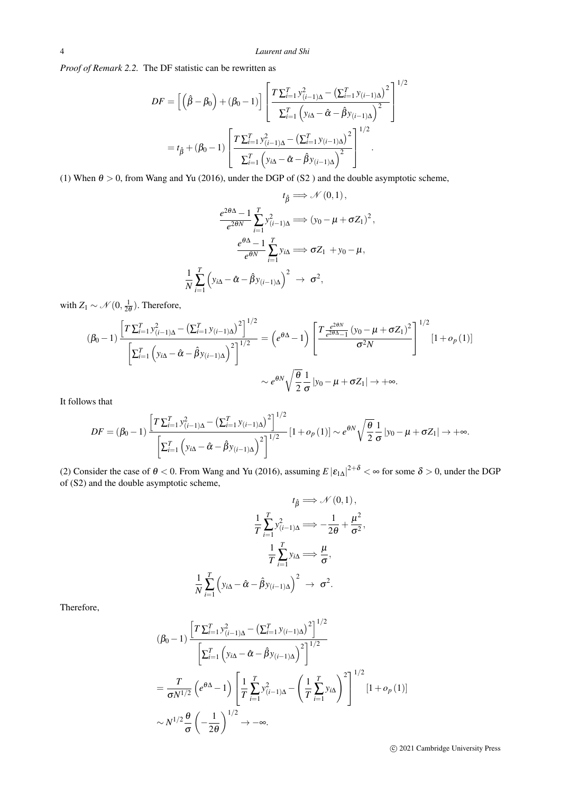*Proof of Remark 2.2.* The DF statistic can be rewritten as

$$
DF = \left[ \left( \hat{\beta} - \beta_0 \right) + (\beta_0 - 1) \right] \left[ \frac{T \sum_{i=1}^{T} y_{(i-1)\Delta}^2 - \left( \sum_{i=1}^{T} y_{(i-1)\Delta} \right)^2}{\sum_{i=1}^{T} \left( y_{i\Delta} - \hat{\alpha} - \hat{\beta} y_{(i-1)\Delta} \right)^2} \right]^{1/2}
$$
  
=  $t_{\hat{\beta}} + (\beta_0 - 1) \left[ \frac{T \sum_{i=1}^{T} y_{(i-1)\Delta}^2 - \left( \sum_{i=1}^{T} y_{(i-1)\Delta} \right)^2}{\sum_{i=1}^{T} \left( y_{i\Delta} - \hat{\alpha} - \hat{\beta} y_{(i-1)\Delta} \right)^2} \right]^{1/2}.$ 

(1) When  $\theta > 0$ , from Wang and Yu (2016), under the DGP of (S2) and the double asymptotic scheme,

$$
t_{\hat{\beta}} \Longrightarrow \mathcal{N}(0,1),
$$

$$
\frac{e^{2\theta\Delta} - 1}{e^{2\theta N}} \sum_{i=1}^{T} y_{(i-1)\Delta}^{2} \Longrightarrow (y_{0} - \mu + \sigma Z_{1})^{2},
$$

$$
\frac{e^{\theta\Delta} - 1}{e^{\theta N}} \sum_{i=1}^{T} y_{i\Delta} \Longrightarrow \sigma Z_{1} + y_{0} - \mu,
$$

$$
\frac{1}{N} \sum_{i=1}^{T} \left( y_{i\Delta} - \hat{\alpha} - \hat{\beta} y_{(i-1)\Delta} \right)^{2} \to \sigma^{2},
$$

with  $Z_1 \sim \mathcal{N}(0, \frac{1}{2\theta})$ . Therefore,

$$
(\beta_0 - 1) \frac{\left[T \sum_{i=1}^T y_{(i-1)\Delta}^2 - \left(\sum_{i=1}^T y_{(i-1)\Delta}\right)^2\right]^{1/2}}{\left[\sum_{i=1}^T \left(y_{i\Delta} - \hat{\alpha} - \hat{\beta}y_{(i-1)\Delta}\right)^2\right]^{1/2}} = \left(e^{\theta\Delta} - 1\right) \left[\frac{T \frac{e^{2\theta N}}{e^{2\theta\Delta} - 1} (y_0 - \mu + \sigma Z_1)^2}{\sigma^2 N}\right]^{1/2} [1 + o_p(1)]
$$

$$
\sim e^{\theta N} \sqrt{\frac{\theta}{2}} \frac{1}{\sigma} |y_0 - \mu + \sigma Z_1| \to +\infty.
$$

It follows that

$$
DF = (\beta_0 - 1) \frac{\left[T \sum_{i=1}^T y_{(i-1)\Delta}^2 - \left(\sum_{i=1}^T y_{(i-1)\Delta}\right)^2\right]^{1/2}}{\left[\sum_{i=1}^T \left(y_{i\Delta} - \hat{\alpha} - \hat{\beta} y_{(i-1)\Delta}\right)^2\right]^{1/2}} \left[1 + o_p(1)\right] \sim e^{\theta N} \sqrt{\frac{\theta}{2}} \frac{1}{\sigma} |y_0 - \mu + \sigma Z_1| \to +\infty.
$$

(2) Consider the case of  $\theta < 0$ . From Wang and Yu (2016), assuming  $E |\epsilon_{1\Delta}|^{2+\delta} < \infty$  for some  $\delta > 0$ , under the DGP of (S2) and the double asymptotic scheme,

$$
t_{\hat{\beta}} \Longrightarrow \mathcal{N}(0,1),
$$

$$
\frac{1}{T} \sum_{i=1}^{T} y_{(i-1)\Delta}^{2} \Longrightarrow -\frac{1}{2\theta} + \frac{\mu^{2}}{\sigma^{2}},
$$

$$
\frac{1}{T} \sum_{i=1}^{T} y_{i\Delta} \Longrightarrow \frac{\mu}{\sigma},
$$

$$
\frac{1}{N} \sum_{i=1}^{T} \left( y_{i\Delta} - \hat{\alpha} - \hat{\beta} y_{(i-1)\Delta} \right)^{2} \to \sigma^{2}.
$$

Therefore,

$$
(\beta_0 - 1) \frac{\left[T \sum_{i=1}^T y_{(i-1)\Delta}^2 - \left(\sum_{i=1}^T y_{(i-1)\Delta}\right)^2\right]^{1/2}}{\left[\sum_{i=1}^T \left(y_{i\Delta} - \hat{\alpha} - \hat{\beta} y_{(i-1)\Delta}\right)^2\right]^{1/2}}
$$

$$
= \frac{T}{\sigma N^{1/2}} \left(e^{\theta \Delta} - 1\right) \left[\frac{1}{T} \sum_{i=1}^T y_{(i-1)\Delta}^2 - \left(\frac{1}{T} \sum_{i=1}^T y_{i\Delta}\right)^2\right]^{1/2} \left[1 + o_p(1)\right]
$$

$$
\sim N^{1/2} \frac{\theta}{\sigma} \left(-\frac{1}{2\theta}\right)^{1/2} \to -\infty.
$$

c 2021 Cambridge University Press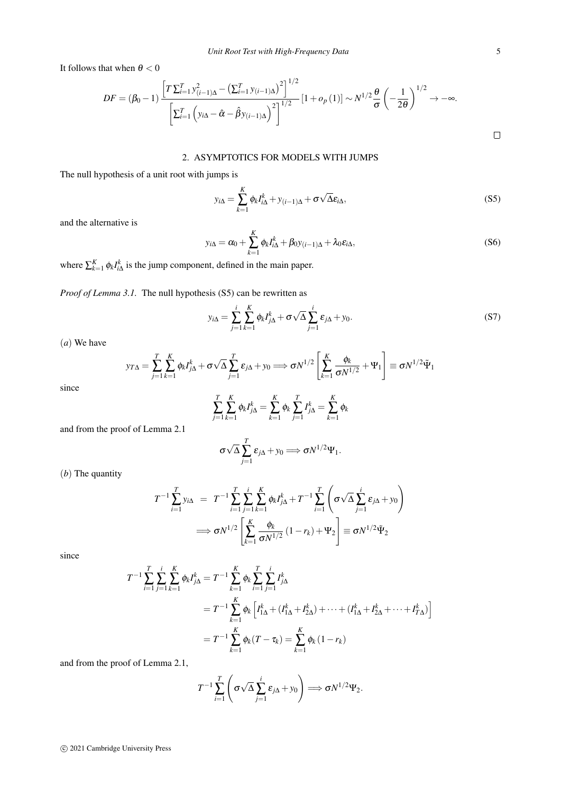It follows that when  $\theta < 0$ 

$$
DF = (\beta_0 - 1) \frac{\left[T \sum_{i=1}^T y_{(i-1)\Delta}^2 - \left(\sum_{i=1}^T y_{(i-1)\Delta}\right)^2\right]^{1/2}}{\left[\sum_{i=1}^T \left(y_{i\Delta} - \hat{\alpha} - \hat{\beta} y_{(i-1)\Delta}\right)^2\right]^{1/2}} [1 + o_p(1)] \sim N^{1/2} \frac{\theta}{\sigma} \left(-\frac{1}{2\theta}\right)^{1/2} \to -\infty.
$$

## 2. ASYMPTOTICS FOR MODELS WITH JUMPS

The null hypothesis of a unit root with jumps is

$$
y_{i\Delta} = \sum_{k=1}^{K} \phi_k I_{i\Delta}^k + y_{(i-1)\Delta} + \sigma \sqrt{\Delta} \varepsilon_{i\Delta},
$$
\n(S5)

and the alternative is

$$
y_{i\Delta} = \alpha_0 + \sum_{k=1}^{K} \phi_k I_{i\Delta}^k + \beta_0 y_{(i-1)\Delta} + \lambda_0 \varepsilon_{i\Delta},
$$
\n(S6)

where  $\sum_{k=1}^{K} \phi_k I_{i\Delta}^k$  is the jump component, defined in the main paper.

*Proof of Lemma 3.1.* The null hypothesis (S5) can be rewritten as

$$
y_{i\Delta} = \sum_{j=1}^{i} \sum_{k=1}^{K} \phi_k I_{j\Delta}^k + \sigma \sqrt{\Delta} \sum_{j=1}^{i} \varepsilon_{j\Delta} + y_0.
$$
 (S7)

(*a*) We have

$$
y_{T\Delta} = \sum_{j=1}^T \sum_{k=1}^K \phi_k I_{j\Delta}^k + \sigma \sqrt{\Delta} \sum_{j=1}^T \varepsilon_{j\Delta} + y_0 \Longrightarrow \sigma N^{1/2} \left[ \sum_{k=1}^K \frac{\phi_k}{\sigma N^{1/2}} + \Psi_1 \right] \equiv \sigma N^{1/2} \tilde{\Psi}_1
$$

since

$$
\sum_{j=1}^{T} \sum_{k=1}^{K} \phi_k I_{j\Delta}^k = \sum_{k=1}^{K} \phi_k \sum_{j=1}^{T} I_{j\Delta}^k = \sum_{k=1}^{K} \phi_k
$$

and from the proof of Lemma 2.1

$$
\sigma\sqrt{\Delta}\sum_{j=1}^T\epsilon_{j\Delta}+y_0\Longrightarrow \sigma N^{1/2}\Psi_1.
$$

(*b*) The quantity

$$
T^{-1} \sum_{i=1}^{T} y_{i\Delta} = T^{-1} \sum_{i=1}^{T} \sum_{j=1}^{i} \sum_{k=1}^{K} \phi_k I_{j\Delta}^k + T^{-1} \sum_{i=1}^{T} \left( \sigma \sqrt{\Delta} \sum_{j=1}^{i} \varepsilon_{j\Delta} + y_0 \right)
$$
  

$$
\implies \sigma N^{1/2} \left[ \sum_{k=1}^{K} \frac{\phi_k}{\sigma N^{1/2}} (1 - r_k) + \Psi_2 \right] \equiv \sigma N^{1/2} \tilde{\Psi}_2
$$

since

$$
T^{-1} \sum_{i=1}^{T} \sum_{j=1}^{i} \sum_{k=1}^{K} \phi_{k} I_{j\Delta}^{k} = T^{-1} \sum_{k=1}^{K} \phi_{k} \sum_{i=1}^{T} \sum_{j=1}^{i} I_{j\Delta}^{k}
$$
  
=  $T^{-1} \sum_{k=1}^{K} \phi_{k} \left[ I_{1\Delta}^{k} + (I_{1\Delta}^{k} + I_{2\Delta}^{k}) + \dots + (I_{1\Delta}^{k} + I_{2\Delta}^{k} + \dots + I_{T\Delta}^{k}) \right]$   
=  $T^{-1} \sum_{k=1}^{K} \phi_{k} (T - \tau_{k}) = \sum_{k=1}^{K} \phi_{k} (1 - r_{k})$ 

and from the proof of Lemma 2.1,

$$
T^{-1}\sum_{i=1}^T\left(\sigma\sqrt{\Delta}\sum_{j=1}^i\varepsilon_{j\Delta}+y_0\right)\Longrightarrow \sigma N^{1/2}\Psi_2.
$$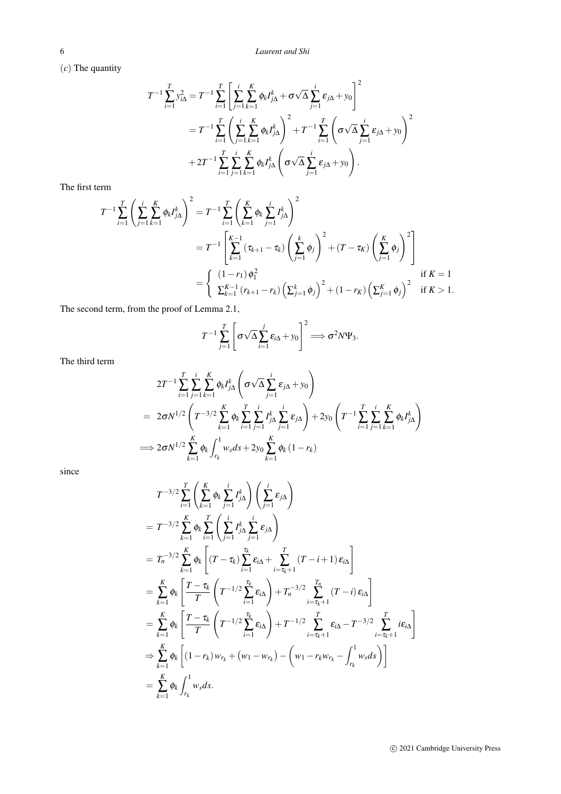(*c*) The quantity

$$
T^{-1} \sum_{i=1}^{T} y_{i\Delta}^{2} = T^{-1} \sum_{i=1}^{T} \left[ \sum_{j=1}^{i} \sum_{k=1}^{K} \phi_{k} I_{j\Delta}^{k} + \sigma \sqrt{\Delta} \sum_{j=1}^{i} \varepsilon_{j\Delta} + y_{0} \right]^{2}
$$
  
=  $T^{-1} \sum_{i=1}^{T} \left( \sum_{j=1}^{i} \sum_{k=1}^{K} \phi_{k} I_{j\Delta}^{k} \right)^{2} + T^{-1} \sum_{i=1}^{T} \left( \sigma \sqrt{\Delta} \sum_{j=1}^{i} \varepsilon_{j\Delta} + y_{0} \right)^{2}$   
+  $2T^{-1} \sum_{i=1}^{T} \sum_{j=1}^{i} \sum_{k=1}^{K} \phi_{k} I_{j\Delta}^{k} \left( \sigma \sqrt{\Delta} \sum_{j=1}^{i} \varepsilon_{j\Delta} + y_{0} \right).$ 

The first term

$$
T^{-1} \sum_{i=1}^{T} \left( \sum_{j=1}^{i} \sum_{k=1}^{K} \phi_{k} I_{j\Delta}^{k} \right)^{2} = T^{-1} \sum_{i=1}^{T} \left( \sum_{k=1}^{K} \phi_{k} \sum_{j=1}^{i} I_{j\Delta}^{k} \right)^{2}
$$
  

$$
= T^{-1} \left[ \sum_{k=1}^{K-1} \left( \tau_{k+1} - \tau_{k} \right) \left( \sum_{j=1}^{k} \phi_{j} \right)^{2} + (T - \tau_{K}) \left( \sum_{j=1}^{K} \phi_{j} \right)^{2} \right]
$$
  

$$
= \begin{cases} (1 - r_{1}) \phi_{1}^{2} & \text{if } K = 1 \\ \sum_{k=1}^{K-1} \left( r_{k+1} - r_{k} \right) \left( \sum_{j=1}^{k} \phi_{j} \right)^{2} + (1 - r_{K}) \left( \sum_{j=1}^{K} \phi_{j} \right)^{2} & \text{if } K > 1. \end{cases}
$$

The second term, from the proof of Lemma 2.1,

$$
T^{-1} \sum_{j=1}^T \left[ \sigma \sqrt{\Delta} \sum_{i=1}^j \varepsilon_{i\Delta} + y_0 \right]^2 \Longrightarrow \sigma^2 N \Psi_3.
$$

The third term

$$
2T^{-1} \sum_{i=1}^{T} \sum_{j=1}^{i} \sum_{k=1}^{K} \phi_{k} I_{j\Delta}^{k} \left( \sigma \sqrt{\Delta} \sum_{j=1}^{i} \varepsilon_{j\Delta} + y_{0} \right)
$$
  
=  $2\sigma N^{1/2} \left( T^{-3/2} \sum_{k=1}^{K} \phi_{k} \sum_{i=1}^{T} \sum_{j=1}^{i} I_{j\Delta}^{k} \sum_{j=1}^{i} \varepsilon_{j\Delta} \right) + 2y_{0} \left( T^{-1} \sum_{i=1}^{T} \sum_{j=1}^{i} \sum_{k=1}^{K} \phi_{k} I_{j\Delta}^{k} \right)$   
 $\implies 2\sigma N^{1/2} \sum_{k=1}^{K} \phi_{k} \int_{r_{k}}^{1} w_{s} ds + 2y_{0} \sum_{k=1}^{K} \phi_{k} (1 - r_{k})$ 

since

$$
T^{-3/2} \sum_{i=1}^{T} \left( \sum_{k=1}^{K} \phi_{k} \sum_{j=1}^{i} I_{j\Delta}^{k} \right) \left( \sum_{j=1}^{i} \varepsilon_{j\Delta} \right)
$$
  
\n
$$
= T^{-3/2} \sum_{k=1}^{K} \phi_{k} \sum_{i=1}^{T} \left( \sum_{j=1}^{i} I_{j\Delta}^{k} \sum_{j=1}^{i} \varepsilon_{j\Delta} \right)
$$
  
\n
$$
= T_{n}^{-3/2} \sum_{k=1}^{K} \phi_{k} \left[ (T - \tau_{k}) \sum_{i=1}^{\tau_{k}} \varepsilon_{i\Delta} + \sum_{i=\tau_{k}+1}^{T} (T - i + 1) \varepsilon_{i\Delta} \right]
$$
  
\n
$$
= \sum_{k=1}^{K} \phi_{k} \left[ \frac{T - \tau_{k}}{T} \left( T^{-1/2} \sum_{i=1}^{\tau_{k}} \varepsilon_{i\Delta} \right) + T_{n}^{-3/2} \sum_{i=\tau_{k}+1}^{T} (T - i) \varepsilon_{i\Delta} \right]
$$
  
\n
$$
= \sum_{k=1}^{K} \phi_{k} \left[ \frac{T - \tau_{k}}{T} \left( T^{-1/2} \sum_{i=1}^{\tau_{k}} \varepsilon_{i\Delta} \right) + T^{-1/2} \sum_{i=\tau_{k}+1}^{T} \varepsilon_{i\Delta} - T^{-3/2} \sum_{i=\tau_{k}+1}^{T} i \varepsilon_{i\Delta} \right]
$$
  
\n
$$
\Rightarrow \sum_{k=1}^{K} \phi_{k} \left[ (1 - r_{k}) w_{r_{k}} + (w_{1} - w_{r_{k}}) - \left( w_{1} - r_{k} w_{r_{k}} - \int_{r_{k}}^{1} w_{s} ds \right) \right]
$$
  
\n
$$
= \sum_{k=1}^{K} \phi_{k} \int_{r_{k}}^{1} w_{s} ds.
$$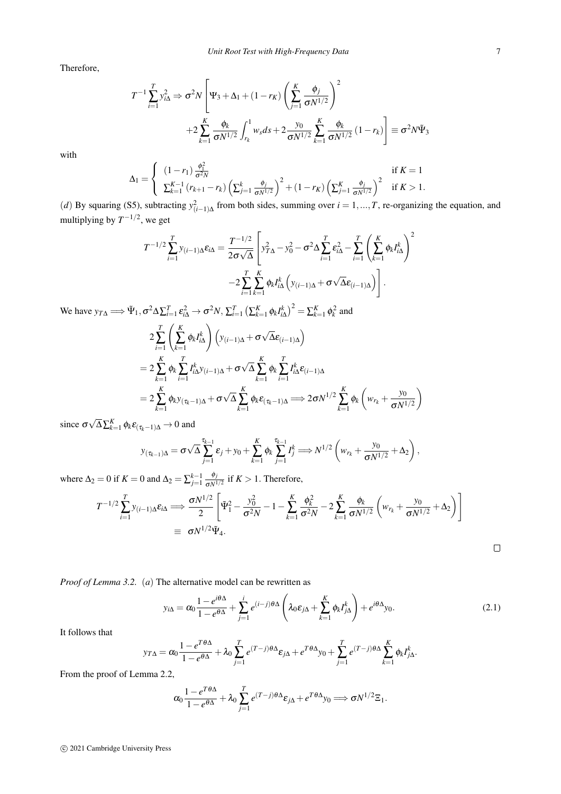*Unit Root Test with High-Frequency Data* 7

Therefore,

$$
T^{-1} \sum_{i=1}^{T} y_{i\Delta}^{2} \Rightarrow \sigma^{2} N \left[ \Psi_{3} + \Delta_{1} + (1 - r_{K}) \left( \sum_{j=1}^{K} \frac{\phi_{j}}{\sigma N^{1/2}} \right)^{2} + 2 \sum_{k=1}^{K} \frac{\phi_{k}}{\sigma N^{1/2}} \int_{r_{k}}^{1} w_{s} ds + 2 \frac{y_{0}}{\sigma N^{1/2}} \sum_{k=1}^{K} \frac{\phi_{k}}{\sigma N^{1/2}} (1 - r_{k}) \right] \equiv \sigma^{2} N \tilde{\Psi}_{3}
$$

with

$$
\Delta_1 = \begin{cases}\n(1 - r_1) \frac{\phi_1^2}{\sigma^2 N} & \text{if } K = 1 \\
\sum_{k=1}^{K-1} (r_{k+1} - r_k) \left( \sum_{j=1}^k \frac{\phi_j}{\sigma N^{1/2}} \right)^2 + (1 - r_K) \left( \sum_{j=1}^K \frac{\phi_j}{\sigma N^{1/2}} \right)^2 & \text{if } K > 1.\n\end{cases}
$$

(*d*) By squaring (S5), subtracting  $y_{(i-1)\Delta}^2$  from both sides, summing over  $i = 1, ..., T$ , re-organizing the equation, and multiplying by  $T^{-1/2}$ , we get

$$
T^{-1/2} \sum_{i=1}^{T} y_{(i-1)\Delta} \varepsilon_{i\Delta} = \frac{T^{-1/2}}{2\sigma\sqrt{\Delta}} \left[ y_{T\Delta}^2 - y_0^2 - \sigma^2 \Delta \sum_{i=1}^{T} \varepsilon_{i\Delta}^2 - \sum_{i=1}^{T} \left( \sum_{k=1}^{K} \phi_k I_{i\Delta}^k \right)^2
$$
  
\n
$$
-2 \sum_{i=1}^{T} \sum_{k=1}^{K} \phi_k I_{i\Delta}^k \left( y_{(i-1)\Delta} + \sigma \sqrt{\Delta} \varepsilon_{(i-1)\Delta} \right) \right].
$$
  
\nWe have  $y_{T\Delta} \Longrightarrow \tilde{\Psi}_1, \sigma^2 \Delta \sum_{i=1}^{T} \varepsilon_{i\Delta}^2 \to \sigma^2 N, \sum_{i=1}^{T} \left( \sum_{k=1}^{K} \phi_k I_{i\Delta}^k \right)^2 = \sum_{k=1}^{K} \phi_k^2$  and  
\n
$$
2 \sum_{i=1}^{T} \left( \sum_{k=1}^{K} \phi_k I_{i\Delta}^k \right) \left( y_{(i-1)\Delta} + \sigma \sqrt{\Delta} \varepsilon_{(i-1)\Delta} \right)
$$
  
\n
$$
= 2 \sum_{k=1}^{K} \phi_k \sum_{i=1}^{T} I_{i\Delta}^k y_{(i-1)\Delta} + \sigma \sqrt{\Delta} \sum_{k=1}^{K} \phi_k \sum_{i=1}^{T} I_{i\Delta}^k \varepsilon_{(i-1)\Delta}
$$
  
\n
$$
= 2 \sum_{k=1}^{K} \phi_k y_{(\tau_k-1)\Delta} + \sigma \sqrt{\Delta} \sum_{k=1}^{K} \phi_k \varepsilon_{(\tau_k-1)\Delta} \Longrightarrow 2\sigma N^{1/2} \sum_{k=1}^{K} \phi_k \left( w_{r_k} + \frac{y_0}{\sigma N^{1/2}} \right)
$$

since σ √  $\overline{\Delta}\sum_{k=1}^K \phi_k \epsilon_{(\tau_k-1)\Delta} \rightarrow 0$  and

$$
y_{(\tau_{k-1})\Delta} = \sigma \sqrt{\Delta} \sum_{j=1}^{\tau_{k-1}} \varepsilon_j + y_0 + \sum_{k=1}^K \phi_k \sum_{j=1}^{\tau_{k-1}} I_j^k \Longrightarrow N^{1/2} \left( w_{r_k} + \frac{y_0}{\sigma N^{1/2}} + \Delta_2 \right),
$$

where  $\Delta_2 = 0$  if  $K = 0$  and  $\Delta_2 = \sum_{j=1}^{k-1} \frac{\phi_j}{\sigma N^j}$  $\frac{\psi_j}{\sigma N^{1/2}}$  if  $K > 1$ . Therefore,

$$
T^{-1/2} \sum_{i=1}^{T} y_{(i-1)\Delta} \varepsilon_{i\Delta} \Longrightarrow \frac{\sigma N^{1/2}}{2} \left[ \tilde{\Psi}_1^2 - \frac{y_0^2}{\sigma^2 N} - 1 - \sum_{k=1}^{K} \frac{\phi_k^2}{\sigma^2 N} - 2 \sum_{k=1}^{K} \frac{\phi_k}{\sigma N^{1/2}} \left( w_{r_k} + \frac{y_0}{\sigma N^{1/2}} + \Delta_2 \right) \right]
$$
  

$$
\equiv \sigma N^{1/2} \tilde{\Psi}_4.
$$

*Proof of Lemma 3.2.* (*a*) The alternative model can be rewritten as

$$
y_{i\Delta} = \alpha_0 \frac{1 - e^{i\theta \Delta}}{1 - e^{\theta \Delta}} + \sum_{j=1}^i e^{(i-j)\theta \Delta} \left( \lambda_0 \varepsilon_{j\Delta} + \sum_{k=1}^K \phi_k I_{j\Delta}^k \right) + e^{i\theta \Delta} y_0.
$$
 (2.1)

It follows that

$$
y_{T\Delta}=\alpha_0\frac{1-e^{T\theta\Delta}}{1-e^{\theta\Delta}}+\lambda_0\sum_{j=1}^Te^{(T-j)\theta\Delta}\epsilon_{j\Delta}+e^{T\theta\Delta}y_0+\sum_{j=1}^Te^{(T-j)\theta\Delta}\sum_{k=1}^K\phi_kI^k_{j\Delta}.
$$

From the proof of Lemma 2.2,

$$
\alpha_0 \frac{1 - e^{T\theta \Delta}}{1 - e^{\theta \Delta}} + \lambda_0 \sum_{j=1}^T e^{(T-j)\theta \Delta} \varepsilon_{j\Delta} + e^{T\theta \Delta} y_0 \Longrightarrow \sigma N^{1/2} \Xi_1.
$$

 $\Box$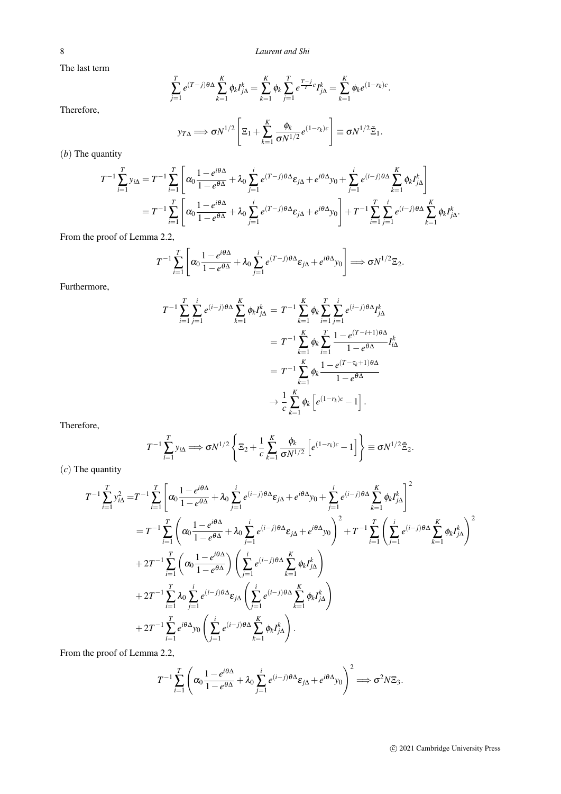The last term

$$
\sum_{j=1}^{T} e^{(T-j)\theta \Delta} \sum_{k=1}^{K} \phi_k I_{j\Delta}^k = \sum_{k=1}^{K} \phi_k \sum_{j=1}^{T} e^{\frac{T-j}{T}c} I_{j\Delta}^k = \sum_{k=1}^{K} \phi_k e^{(1-r_k)c}.
$$

Therefore,

$$
y_{T\Delta} \Longrightarrow \sigma N^{1/2} \left[ \Xi_1 + \sum_{k=1}^K \frac{\phi_k}{\sigma N^{1/2}} e^{(1-r_k)c} \right] \equiv \sigma N^{1/2} \tilde{\Xi}_1.
$$

(*b*) The quantity

$$
T^{-1} \sum_{i=1}^{T} y_{i\Delta} = T^{-1} \sum_{i=1}^{T} \left[ \alpha_0 \frac{1 - e^{i\theta \Delta}}{1 - e^{\theta \Delta}} + \lambda_0 \sum_{j=1}^{i} e^{(T-j)\theta \Delta} \varepsilon_{j\Delta} + e^{i\theta \Delta} y_0 + \sum_{j=1}^{i} e^{(i-j)\theta \Delta} \sum_{k=1}^{K} \phi_k I_{j\Delta}^k \right]
$$
  
=  $T^{-1} \sum_{i=1}^{T} \left[ \alpha_0 \frac{1 - e^{i\theta \Delta}}{1 - e^{\theta \Delta}} + \lambda_0 \sum_{j=1}^{i} e^{(T-j)\theta \Delta} \varepsilon_{j\Delta} + e^{i\theta \Delta} y_0 \right] + T^{-1} \sum_{i=1}^{T} \sum_{j=1}^{i} e^{(i-j)\theta \Delta} \sum_{k=1}^{K} \phi_k I_{j\Delta}^k.$ 

From the proof of Lemma 2.2,

$$
T^{-1}\sum_{i=1}^T\left[\alpha_0\frac{1-e^{i\theta\Delta}}{1-e^{\theta\Delta}}+\lambda_0\sum_{j=1}^i e^{(T-j)\theta\Delta}\varepsilon_{j\Delta}+e^{i\theta\Delta}y_0\right]\Longrightarrow \sigma N^{1/2}\Xi_2.
$$

Furthermore,

$$
T^{-1} \sum_{i=1}^{T} \sum_{j=1}^{i} e^{(i-j)\theta \Delta} \sum_{k=1}^{K} \phi_k I_{j\Delta}^k = T^{-1} \sum_{k=1}^{K} \phi_k \sum_{i=1}^{T} \sum_{j=1}^{i} e^{(i-j)\theta \Delta} I_{j\Delta}^k
$$
  

$$
= T^{-1} \sum_{k=1}^{K} \phi_k \sum_{i=1}^{T} \frac{1 - e^{(T-i+1)\theta \Delta}}{1 - e^{\theta \Delta}} I_{i\Delta}^k
$$
  

$$
= T^{-1} \sum_{k=1}^{K} \phi_k \frac{1 - e^{(T-\tau_k+1)\theta \Delta}}{1 - e^{\theta \Delta}}
$$
  

$$
\rightarrow \frac{1}{c} \sum_{k=1}^{K} \phi_k \left[ e^{(1-r_k)c} - 1 \right].
$$

Therefore,

$$
T^{-1}\sum_{i=1}^T y_{i\Delta} \Longrightarrow \sigma N^{1/2}\left\{\Xi_2 + \frac{1}{c}\sum_{k=1}^K \frac{\phi_k}{\sigma N^{1/2}}\left[e^{(1-r_k)c}-1\right]\right\} \equiv \sigma N^{1/2}\tilde{\Xi}_2.
$$

(*c*) The quantity

$$
T^{-1} \sum_{i=1}^{T} y_{i\Delta}^{2} = T^{-1} \sum_{i=1}^{T} \left[ \alpha_{0} \frac{1 - e^{i\theta\Delta}}{1 - e^{\theta\Delta}} + \lambda_{0} \sum_{j=1}^{i} e^{(i-j)\theta\Delta} \varepsilon_{j\Delta} + e^{i\theta\Delta} y_{0} + \sum_{j=1}^{i} e^{(i-j)\theta\Delta} \sum_{k=1}^{K} \phi_{k} I_{j\Delta}^{k} \right]^{2}
$$
  
\n
$$
= T^{-1} \sum_{i=1}^{T} \left( \alpha_{0} \frac{1 - e^{i\theta\Delta}}{1 - e^{\theta\Delta}} + \lambda_{0} \sum_{j=1}^{i} e^{(i-j)\theta\Delta} \varepsilon_{j\Delta} + e^{i\theta\Delta} y_{0} \right)^{2} + T^{-1} \sum_{i=1}^{T} \left( \sum_{j=1}^{i} e^{(i-j)\theta\Delta} \sum_{k=1}^{K} \phi_{k} I_{j\Delta}^{k} \right)^{2}
$$
  
\n
$$
+ 2T^{-1} \sum_{i=1}^{T} \left( \alpha_{0} \frac{1 - e^{i\theta\Delta}}{1 - e^{\theta\Delta}} \right) \left( \sum_{j=1}^{i} e^{(i-j)\theta\Delta} \sum_{k=1}^{K} \phi_{k} I_{j\Delta}^{k} \right)
$$
  
\n
$$
+ 2T^{-1} \sum_{i=1}^{T} \lambda_{0} \sum_{j=1}^{i} e^{(i-j)\theta\Delta} \varepsilon_{j\Delta} \left( \sum_{j=1}^{i} e^{(i-j)\theta\Delta} \sum_{k=1}^{K} \phi_{k} I_{j\Delta}^{k} \right)
$$
  
\n
$$
+ 2T^{-1} \sum_{i=1}^{T} e^{i\theta\Delta} y_{0} \left( \sum_{j=1}^{i} e^{(i-j)\theta\Delta} \sum_{k=1}^{K} \phi_{k} I_{j\Delta}^{k} \right).
$$

From the proof of Lemma 2.2,

$$
T^{-1} \sum_{i=1}^T \left( \alpha_0 \frac{1 - e^{i\theta \Delta}}{1 - e^{\theta \Delta}} + \lambda_0 \sum_{j=1}^i e^{(i-j)\theta \Delta} \varepsilon_{j\Delta} + e^{i\theta \Delta} y_0 \right)^2 \Longrightarrow \sigma^2 N \Xi_3.
$$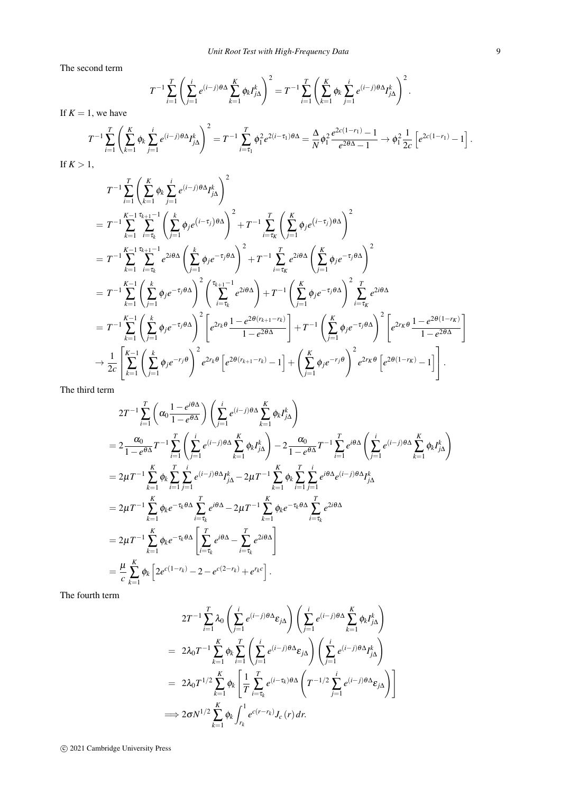The second term

$$
T^{-1} \sum_{i=1}^T \left( \sum_{j=1}^i e^{(i-j)\theta \Delta} \sum_{k=1}^K \phi_k I_{j\Delta}^k \right)^2 = T^{-1} \sum_{i=1}^T \left( \sum_{k=1}^K \phi_k \sum_{j=1}^i e^{(i-j)\theta \Delta} I_{j\Delta}^k \right)^2.
$$

If  $K = 1$ , we have

$$
T^{-1} \sum_{i=1}^{T} \left( \sum_{k=1}^{K} \phi_k \sum_{j=1}^{i} e^{(i-j)\theta \Delta} I_{j\Delta}^k \right)^2 = T^{-1} \sum_{i=\tau_1}^{T} \phi_1^2 e^{2(i-\tau_1)\theta \Delta} = \frac{\Delta}{N} \phi_1^2 \frac{e^{2c(1-r_1)} - 1}{e^{2\theta \Delta} - 1} \to \phi_1^2 \frac{1}{2c} \left[ e^{2c(1-r_1)} - 1 \right].
$$

If  $K > 1$ ,

$$
T^{-1} \sum_{i=1}^{T} \left( \sum_{k=1}^{K} \phi_k \sum_{j=1}^{i} e^{(i-j)\theta} \Delta f_{j\Delta}^k \right)^2
$$
  
\n
$$
= T^{-1} \sum_{k=1}^{K-1} \sum_{i=\tau_k}^{\tau_{k+1}-1} \left( \sum_{j=1}^{k} \phi_j e^{(i-\tau_j)\theta} \Delta \right)^2 + T^{-1} \sum_{i=\tau_k}^{T} \left( \sum_{j=1}^{K} \phi_j e^{(i-\tau_j)\theta} \Delta \right)^2
$$
  
\n
$$
= T^{-1} \sum_{k=1}^{K-1} \sum_{i=\tau_k}^{\tau_{k+1}-1} e^{2i\theta} \Delta \left( \sum_{j=1}^{k} \phi_j e^{-\tau_j\theta} \Delta \right)^2 + T^{-1} \sum_{i=\tau_k}^{T} e^{2i\theta} \Delta \left( \sum_{j=1}^{K} \phi_j e^{-\tau_j\theta} \Delta \right)^2
$$
  
\n
$$
= T^{-1} \sum_{k=1}^{K-1} \left( \sum_{j=1}^{k} \phi_j e^{-\tau_j\theta} \Delta \right)^2 \left( \sum_{i=\tau_k}^{\tau_{k+1}-1} e^{2i\theta} \Delta \right) + T^{-1} \left( \sum_{j=1}^{K} \phi_j e^{-\tau_j\theta} \Delta \right)^2 \sum_{i=\tau_k}^{T} e^{2i\theta} \Delta
$$
  
\n
$$
= T^{-1} \sum_{k=1}^{K-1} \left( \sum_{j=1}^{k} \phi_j e^{-\tau_j\theta} \Delta \right)^2 \left[ e^{2r_k\theta} \frac{1 - e^{2\theta(r_{k+1} - r_k)}}{1 - e^{2\theta} \Delta} \right] + T^{-1} \left( \sum_{j=1}^{K} \phi_j e^{-\tau_j\theta} \Delta \right)^2 \left[ e^{2r_k\theta} \frac{1 - e^{2\theta(1 - r_k)}}{1 - e^{2\theta} \Delta} \right]
$$
  
\n
$$
\rightarrow \frac{1}{2c} \left[ \sum_{k=1}^{K-1} \left( \sum_{j=1}^{k} \phi_j e^{-r_j\theta} \Delta \right)^2 e^{2r_k\theta} \left[ e^{2\theta(r_{k+1} - r_k)} - 1 \right] + \left(
$$

The third term

$$
2T^{-1} \sum_{i=1}^{T} \left( \alpha_0 \frac{1 - e^{i\theta \Delta}}{1 - e^{\theta \Delta}} \right) \left( \sum_{j=1}^{i} e^{(i-j)\theta \Delta} \sum_{k=1}^{K} \phi_k I_{j\Delta}^k \right)
$$
  
\n
$$
= 2 \frac{\alpha_0}{1 - e^{\theta \Delta}} T^{-1} \sum_{i=1}^{T} \left( \sum_{j=1}^{i} e^{(i-j)\theta \Delta} \sum_{k=1}^{K} \phi_k I_{j\Delta}^k \right) - 2 \frac{\alpha_0}{1 - e^{\theta \Delta}} T^{-1} \sum_{i=1}^{T} e^{i\theta \Delta} \left( \sum_{j=1}^{i} e^{(i-j)\theta \Delta} \sum_{k=1}^{K} \phi_k I_{j\Delta}^k \right)
$$
  
\n
$$
= 2\mu T^{-1} \sum_{k=1}^{K} \phi_k \sum_{i=1}^{T} \sum_{j=1}^{i} e^{(i-j)\theta \Delta} I_{j\Delta}^k - 2\mu T^{-1} \sum_{k=1}^{K} \phi_k \sum_{i=1}^{T} \sum_{j=1}^{i} e^{i\theta \Delta} e^{(i-j)\theta \Delta} I_{j\Delta}^k
$$
  
\n
$$
= 2\mu T^{-1} \sum_{k=1}^{K} \phi_k e^{-\tau_k \theta \Delta} \sum_{i=\tau_k}^{T} e^{i\theta \Delta} - 2\mu T^{-1} \sum_{k=1}^{K} \phi_k e^{-\tau_k \theta \Delta} \sum_{i=\tau_k}^{T} e^{2i\theta \Delta}
$$
  
\n
$$
= 2\mu T^{-1} \sum_{k=1}^{K} \phi_k e^{-\tau_k \theta \Delta} \left[ \sum_{i=\tau_k}^{T} e^{i\theta \Delta} - \sum_{i=\tau_k}^{T} e^{2i\theta \Delta} \right]
$$
  
\n
$$
= \frac{\mu}{c} \sum_{k=1}^{K} \phi_k \left[ 2e^{c(1-r_k)} - 2 - e^{c(2-r_k)} + e^{r_k c} \right].
$$

The fourth term

$$
2T^{-1} \sum_{i=1}^{T} \lambda_0 \left( \sum_{j=1}^{i} e^{(i-j)\theta \Delta} \varepsilon_{j\Delta} \right) \left( \sum_{j=1}^{i} e^{(i-j)\theta \Delta} \sum_{k=1}^{K} \phi_k I_{j\Delta}^k \right)
$$
  
=  $2\lambda_0 T^{-1} \sum_{k=1}^{K} \phi_k \sum_{i=1}^{T} \left( \sum_{j=1}^{i} e^{(i-j)\theta \Delta} \varepsilon_{j\Delta} \right) \left( \sum_{j=1}^{i} e^{(i-j)\theta \Delta} I_{j\Delta}^k \right)$   
=  $2\lambda_0 T^{1/2} \sum_{k=1}^{K} \phi_k \left[ \frac{1}{T} \sum_{i=\tau_k}^{T} e^{(i-\tau_k)\theta \Delta} \left( T^{-1/2} \sum_{j=1}^{i} e^{(i-j)\theta \Delta} \varepsilon_{j\Delta} \right) \right]$   
 $\implies 2\sigma N^{1/2} \sum_{k=1}^{K} \phi_k \int_{r_k}^{1} e^{c(r-r_k)} J_c(r) dr.$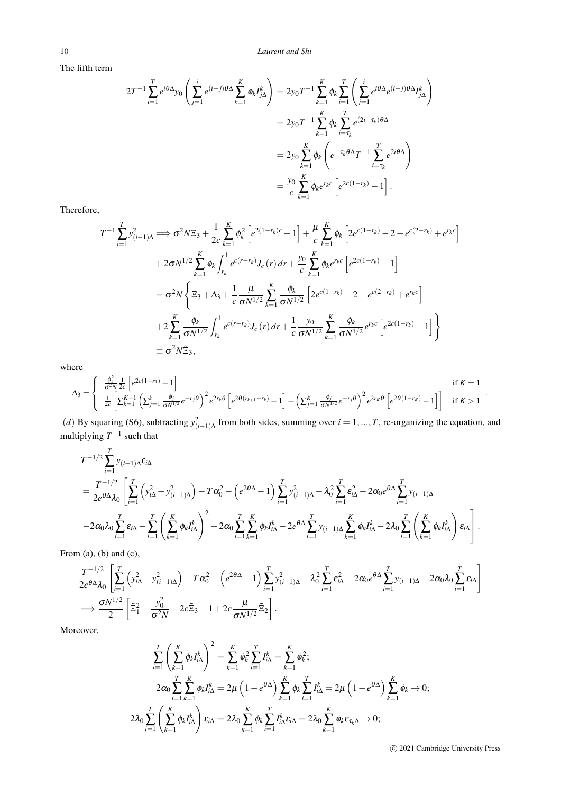The fifth term

$$
2T^{-1} \sum_{i=1}^{T} e^{i\theta \Delta} y_0 \left( \sum_{j=1}^{i} e^{(i-j)\theta \Delta} \sum_{k=1}^{K} \phi_k I_{j\Delta}^k \right) = 2y_0 T^{-1} \sum_{k=1}^{K} \phi_k \sum_{i=1}^{T} \left( \sum_{j=1}^{i} e^{i\theta \Delta} e^{(i-j)\theta \Delta} I_{j\Delta}^k \right)
$$
  

$$
= 2y_0 T^{-1} \sum_{k=1}^{K} \phi_k \sum_{i=\tau_k}^{T} e^{(2i-\tau_k)\theta \Delta}
$$
  

$$
= 2y_0 \sum_{k=1}^{K} \phi_k \left( e^{-\tau_k \theta \Delta} T^{-1} \sum_{i=\tau_k}^{T} e^{2i\theta \Delta} \right)
$$
  

$$
= \frac{y_0}{c} \sum_{k=1}^{K} \phi_k e^{r_k c} \left[ e^{2c(1-r_k)} - 1 \right].
$$

Therefore,

$$
T^{-1} \sum_{i=1}^{T} y_{(i-1)\Delta}^{2} \Longrightarrow \sigma^{2} N \Xi_{3} + \frac{1}{2c} \sum_{k=1}^{K} \phi_{k}^{2} \left[ e^{2(1-r_{k})c} - 1 \right] + \frac{\mu}{c} \sum_{k=1}^{K} \phi_{k} \left[ 2 e^{c(1-r_{k})} - 2 - e^{c(2-r_{k})} + e^{r_{k}c} \right]
$$
  
+  $2\sigma N^{1/2} \sum_{k=1}^{K} \phi_{k} \int_{r_{k}}^{1} e^{c(r-r_{k})} J_{c}(r) dr + \frac{y_{0}}{c} \sum_{k=1}^{K} \phi_{k} e^{r_{k}c} \left[ e^{2c(1-r_{k})} - 1 \right]$   
=  $\sigma^{2} N \left\{ \Xi_{3} + \Delta_{3} + \frac{1}{c} \frac{\mu}{\sigma N^{1/2}} \sum_{k=1}^{K} \frac{\phi_{k}}{\sigma N^{1/2}} \left[ 2 e^{c(1-r_{k})} - 2 - e^{c(2-r_{k})} + e^{r_{k}c} \right] \right\}$   
+  $2 \sum_{k=1}^{K} \frac{\phi_{k}}{\sigma N^{1/2}} \int_{r_{k}}^{1} e^{c(r-r_{k})} J_{c}(r) dr + \frac{1}{c} \frac{y_{0}}{\sigma N^{1/2}} \sum_{k=1}^{K} \frac{\phi_{k}}{\sigma N^{1/2}} e^{r_{k}c} \left[ e^{2c(1-r_{k})} - 1 \right] \right\}$   
=  $\sigma^{2} N \tilde{\Xi}_{3},$ 

where

$$
\Delta_3 = \begin{cases}\n\frac{\phi_1^2}{\sigma^2 N} \frac{1}{2c} \left[ e^{2c(1-r_1)} - 1 \right] & \text{if } K = 1 \\
\frac{1}{2c} \left[ \sum_{k=1}^{K-1} \left( \sum_{j=1}^k \frac{\phi_j}{\sigma N^{1/2}} e^{-r_j \theta} \right)^2 e^{2r_k \theta} \left[ e^{2\theta(r_{k+1}-r_k)} - 1 \right] + \left( \sum_{j=1}^K \frac{\phi_j}{\sigma N^{1/2}} e^{-r_j \theta} \right)^2 e^{2r_k \theta} \left[ e^{2\theta(1-r_k)} - 1 \right] & \text{if } K > 1\n\end{cases}
$$

(*d*) By squaring (S6), subtracting  $y_{(i-1)\Delta}^2$  from both sides, summing over  $i = 1, ..., T$ , re-organizing the equation, and multiplying  $T^{-1}$  such that

$$
T^{-1/2} \sum_{i=1}^{T} y_{(i-1)\Delta} \varepsilon_{i\Delta}
$$
  
= 
$$
\frac{T^{-1/2}}{2e^{\theta\Delta}\lambda_0} \left[ \sum_{i=1}^{T} \left( y_{i\Delta}^2 - y_{(i-1)\Delta}^2 \right) - T\alpha_0^2 - \left( e^{2\theta\Delta} - 1 \right) \sum_{i=1}^{T} y_{(i-1)\Delta}^2 - \lambda_0^2 \sum_{i=1}^{T} \varepsilon_{i\Delta}^2 - 2\alpha_0 e^{\theta\Delta} \sum_{i=1}^{T} y_{(i-1)\Delta}
$$
  
- 
$$
-2\alpha_0 \lambda_0 \sum_{i=1}^{T} \varepsilon_{i\Delta} - \sum_{i=1}^{T} \left( \sum_{k=1}^{K} \phi_k I_{i\Delta}^k \right)^2 - 2\alpha_0 \sum_{i=1}^{T} \sum_{k=1}^{K} \phi_k I_{i\Delta}^k - 2e^{\theta\Delta} \sum_{i=1}^{T} y_{(i-1)\Delta} \sum_{k=1}^{K} \phi_k I_{i\Delta}^k - 2\lambda_0 \sum_{i=1}^{T} \left( \sum_{k=1}^{K} \phi_k I_{i\Delta}^k \right) \varepsilon_{i\Delta} \right].
$$

From  $(a)$ ,  $(b)$  and  $(c)$ ,

$$
\frac{T^{-1/2}}{2e^{\theta\Delta}\lambda_0} \left[ \sum_{i=1}^T \left( y_{i\Delta}^2 - y_{(i-1)\Delta}^2 \right) - T\alpha_0^2 - \left( e^{2\theta\Delta} - 1 \right) \sum_{i=1}^T y_{(i-1)\Delta}^2 - \lambda_0^2 \sum_{i=1}^T \varepsilon_{i\Delta}^2 - 2\alpha_0 e^{\theta\Delta} \sum_{i=1}^T y_{(i-1)\Delta} - 2\alpha_0 \lambda_0 \sum_{i=1}^T \varepsilon_{i\Delta} \right]
$$
  
\n
$$
\implies \frac{\sigma N^{1/2}}{2} \left[ \tilde{\Xi}_1^2 - \frac{y_0^2}{\sigma^2 N} - 2c \tilde{\Xi}_3 - 1 + 2c \frac{\mu}{\sigma N^{1/2}} \tilde{\Xi}_2 \right].
$$

Moreover,

$$
\sum_{i=1}^{T} \left( \sum_{k=1}^{K} \phi_k I_{i\Delta}^k \right)^2 = \sum_{k=1}^{K} \phi_k^2 \sum_{i=1}^{T} I_{i\Delta}^k = \sum_{k=1}^{K} \phi_k^2;
$$
\n
$$
2\alpha_0 \sum_{i=1}^{T} \sum_{k=1}^{K} \phi_k I_{i\Delta}^k = 2\mu \left( 1 - e^{\theta \Delta} \right) \sum_{k=1}^{K} \phi_k \sum_{i=1}^{T} I_{i\Delta}^k = 2\mu \left( 1 - e^{\theta \Delta} \right) \sum_{k=1}^{K} \phi_k \to 0;
$$
\n
$$
2\lambda_0 \sum_{i=1}^{T} \left( \sum_{k=1}^{K} \phi_k I_{i\Delta}^k \right) \varepsilon_{i\Delta} = 2\lambda_0 \sum_{k=1}^{K} \phi_k \sum_{i=1}^{T} I_{i\Delta}^k \varepsilon_{i\Delta} = 2\lambda_0 \sum_{k=1}^{K} \phi_k \varepsilon_{\tau_k \Delta} \to 0;
$$

c 2021 Cambridge University Press

.